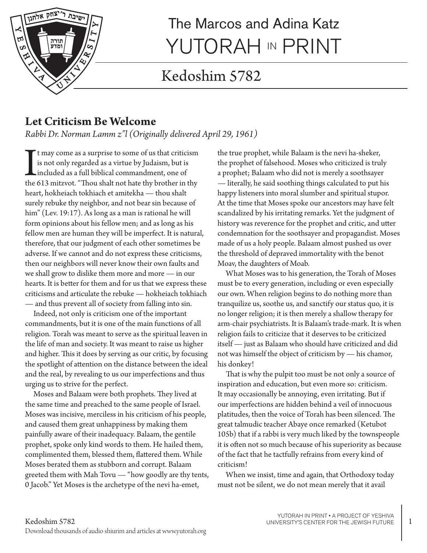

# The Marcos and Adina Katz YUTORAH IN PRINT

## Kedoshim 5782

### **Let Criticism Be Welcome**

*Rabbi Dr. Norman Lamm z"l (Originally delivered April 29, 1961)*

It may come as a surprise to some of us that criticism<br>is not only regarded as a virtue by Judaism, but is<br>included as a full biblical commandment, one of<br>the 613 mitzvot. "Thou shalt not hate thy brother in thy t may come as a surprise to some of us that criticism is not only regarded as a virtue by Judaism, but is included as a full biblical commandment, one of heart, hokheiach tokhiach et amitekha — thou shalt surely rebuke thy neighbor, and not bear sin because of him" (Lev. 19:17). As long as a man is rational he will form opinions about his fellow men; and as long as his fellow men are human they will be imperfect. It is natural, therefore, that our judgment of each other sometimes be adverse. If we cannot and do not express these criticisms, then our neighbors will never know their own faults and we shall grow to dislike them more and more — in our hearts. It is better for them and for us that we express these criticisms and articulate the rebuke — hokheiach tokhiach — and thus prevent all of society from falling into sin.

Indeed, not only is criticism one of the important commandments, but it is one of the main functions of all religion. Torah was meant to serve as the spiritual leaven in the life of man and society. It was meant to raise us higher and higher. This it does by serving as our critic, by focusing the spotlight of attention on the distance between the ideal and the real, by revealing to us our imperfections and thus urging us to strive for the perfect.

Moses and Balaam were both prophets. They lived at the same time and preached to the same people of Israel. Moses was incisive, merciless in his criticism of his people, and caused them great unhappiness by making them painfully aware of their inadequacy. Balaam, the gentile prophet, spoke only kind words to them. He hailed them, complimented them, blessed them, flattered them. While Moses berated them as stubborn and corrupt. Balaam greeted them with Mah Tovu — "how goodly are thy tents, 0 Jacob." Yet Moses is the archetype of the nevi ha-emet,

the true prophet, while Balaam is the nevi ha-sheker, the prophet of falsehood. Moses who criticized is truly a prophet; Balaam who did not is merely a soothsayer — literally, he said soothing things calculated to put his happy listeners into moral slumber and spiritual stupor. At the time that Moses spoke our ancestors may have felt scandalized by his irritating remarks. Yet the judgment of history was reverence for the prophet and critic, and utter condemnation for the soothsayer and propagandist. Moses made of us a holy people. Balaam almost pushed us over the threshold of depraved immortality with the benot Moav, the daughters of Moab.

What Moses was to his generation, the Torah of Moses must be to every generation, including or even especially our own. When religion begins to do nothing more than tranquilize us, soothe us, and sanctify our status quo, it is no longer religion; it is then merely a shallow therapy for arm-chair psychiatrists. It is Balaam's trade-mark. It is when religion fails to criticize that it deserves to be criticized itself — just as Balaam who should have criticized and did not was himself the object of criticism by — his chamor, his donkey!

That is why the pulpit too must be not only a source of inspiration and education, but even more so: criticism. It may occasionally be annoying, even irritating. But if our imperfections are hidden behind a veil of innocuous platitudes, then the voice of Torah has been silenced. The great talmudic teacher Abaye once remarked (Ketubot 105b) that if a rabbi is very much liked by the townspeople it is often not so much because of his superiority as because of the fact that he tactfully refrains from every kind of criticism!

When we insist, time and again, that Orthodoxy today must not be silent, we do not mean merely that it avail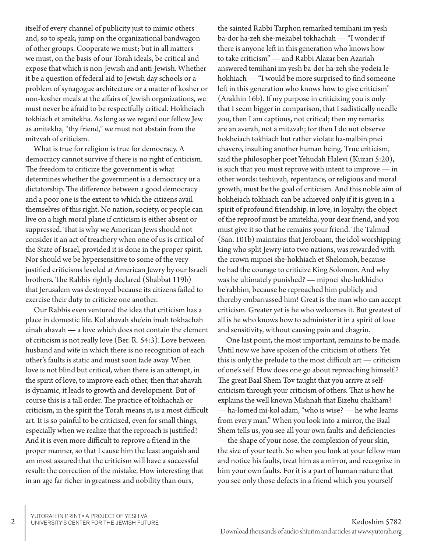itself of every channel of publicity just to mimic others and, so to speak, jump on the organizational bandwagon of other groups. Cooperate we must; but in all matters we must, on the basis of our Torah ideals, be critical and expose that which is non-Jewish and anti-Jewish. Whether it be a question of federal aid to Jewish day schools or a problem of synagogue architecture or a matter of kosher or non-kosher meals at the affairs of Jewish organizations, we must never be afraid to be respectfully critical. Hokheiach tokhiach et amitekha. As long as we regard our fellow Jew as amitekha, "thy friend," we must not abstain from the mitzvah of criticism.

What is true for religion is true for democracy. A democracy cannot survive if there is no right of criticism. The freedom to criticize the government is what determines whether the government is a democracy or a dictatorship. The difference between a good democracy and a poor one is the extent to which the citizens avail themselves of this right. No nation, society, or people can live on a high moral plane if criticism is either absent or suppressed. That is why we American Jews should not consider it an act of treachery when one of us is critical of the State of Israel, provided it is done in the proper spirit. Nor should we be hypersensitive to some of the very justified criticisms leveled at American Jewry by our Israeli brothers. The Rabbis rightly declared (Shabbat 119b) that Jerusalem was destroyed because its citizens failed to exercise their duty to criticize one another.

Our Rabbis even ventured the idea that criticism has a place in domestic life. Kol ahavah she'ein imah tokhachah einah ahavah — a love which does not contain the element of criticism is not really love (Ber. R. 54:3). Love between husband and wife in which there is no recognition of each other's faults is static and must soon fade away. When love is not blind but critical, when there is an attempt, in the spirit of love, to improve each other, then that ahavah is dynamic, it leads to growth and development. But of course this is a tall order. The practice of tokhachah or criticism, in the spirit the Torah means it, is a most difficult art. It is so painful to be criticized, even for small things, especially when we realize that the reproach is justified! And it is even more difficult to reprove a friend in the proper manner, so that I cause him the least anguish and am most assured that the criticism will have a successful result: the correction of the mistake. How interesting that in an age far richer in greatness and nobility than ours,

the sainted Rabbi Tarphon remarked temihani im yesh ba-dor ha-zeh she-mekabel tokhachah — "I wonder if there is anyone left in this generation who knows how to take criticism" — and Rabbi Alazar ben Azariah answered temihani im yesh ba-dor ha-zeh she-yodeia lehokhiach — "I would be more surprised to find someone left in this generation who knows how to give criticism" (Arakhin 16b). If my purpose in criticizing you is only that I seem bigger in comparison, that I sadistically needle you, then I am captious, not critical; then my remarks are an averah, not a mitzvah; for then I do not observe hokheiach tokhiach but rather violate ha-malbin pnei chavero, insulting another human being. True criticism, said the philosopher poet Yehudah Halevi (Kuzari 5:20), is such that you must reprove with intent to improve — in other words: teshuvah, repentance, or religious and moral growth, must be the goal of criticism. And this noble aim of hokheiach tokhiach can be achieved only if it is given in a spirit of profound friendship, in love, in loyalty; the object of the reproof must be amitekha, your dear friend, and you must give it so that he remains your friend. The Talmud (San. 101b) maintains that Jerobaam, the idol-worshipping king who split Jewry into two nations, was rewarded with the crown mipnei she-hokhiach et Shelomoh, because he had the courage to criticize King Solomon. And why was he ultimately punished? — mipnei she-hokhicho be'rabbim, because he reproached him publicly and thereby embarrassed him! Great is the man who can accept criticism. Greater yet is he who welcomes it. But greatest of all is he who knows how to administer it in a spirit of love and sensitivity, without causing pain and chagrin.

One last point, the most important, remains to be made. Until now we have spoken of the criticism of others. Yet this is only the prelude to the most difficult art — criticism of one's self. How does one go about reproaching himself.? The great Baal Shem Tov taught that you arrive at selfcriticism through your criticism of others. That is how he explains the well known Mishnah that Eizehu chakham? — ha-lomed mi-kol adam, "who is wise? — he who learns from every man." When you look into a mirror, the Baal Shem tells us, you see all your own faults and deficiencies — the shape of your nose, the complexion of your skin, the size of your teeth. So when you look at your fellow man and notice his faults, treat him as a mirror, and recognize in him your own faults. For it is a part of human nature that you see only those defects in a friend which you yourself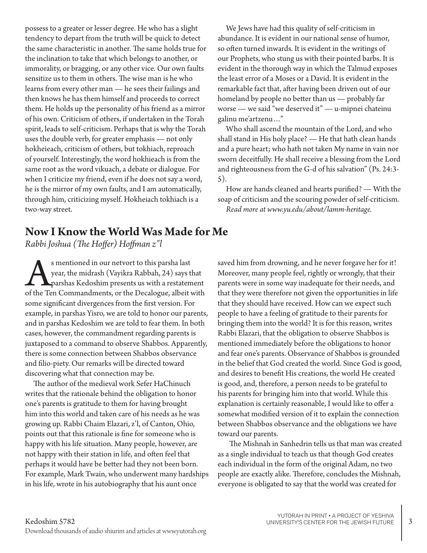possess to a greater or lesser degree. He who has a slight tendency to depart from the truth will be quick to detect the same characteristic in another. The same holds true for the inclination to take that which belongs to another, or immorality, or bragging, or any other vice. Our own faults sensitize us to them in others. The wise man is he who learns from every other man — he sees their failings and then knows he has them himself and proceeds to correct them. He holds up the personality of his friend as a mirror of his own. Criticism of others, if undertaken in the Torah spirit, leads to self-criticism. Perhaps that is why the Torah uses the double verb, for greater emphasis — not only hokheieach, criticism of others, but tokhiach, reproach of yourself. Interestingly, the word hokhieach is from the same root as the word vikuach, a debate or dialogue. For when I criticize my friend, even if he does not say a word, he is the mirror of my own faults, and I am automatically, through him, criticizing myself. Hokheiach tokhiach is a two-way street.

We Jews have had this quality of self-criticism in abundance. It is evident in our national sense of humor, so often turned inwards. It is evident in the writings of our Prophets, who stung us with their pointed barbs. It is evident in the thorough way in which the Talmud exposes the least error of a Moses or a David. It is evident in the remarkable fact that, after having been driven out of our homeland by people no better than us — probably far worse — we said "we deserved it" — u-mipnei chateinu galinu me'artzenu…"

Who shall ascend the mountain of the Lord, and who shall stand in His holy place? — He that hath clean hands and a pure heart; who hath not taken My name in vain nor sworn deceitfully. He shall receive a blessing from the Lord and righteousness from the G-d of his salvation" (Ps. 24:3- 5).

How are hands cleaned and hearts purified? — With the soap of criticism and the scouring powder of self-criticism. *Read more at www.yu.edu/about/lamm-heritage.*

### **Now I Know the World Was Made for Me**

*Rabbi Joshua (The Hoffer) Hoffman z"l*

Superinted in our netvort to this parsha last<br>
year, the midrash (Vayikra Rabbah, 24) says that<br>
parshas Kedoshim presents us with a restatement<br>
of the Ten Commandments, or the Decalogue, albeit with year, the midrash (Vayikra Rabbah, 24) says that parshas Kedoshim presents us with a restatement some significant divergences from the first version. For example, in parshas Yisro, we are told to honor our parents, and in parshas Kedoshim we are told to fear them. In both cases, however, the commandment regarding parents is juxtaposed to a command to observe Shabbos. Apparently, there is some connection between Shabbos observance and filio-piety. Our remarks will be directed toward discovering what that connection may be.

The author of the medieval work Sefer HaChinuch writes that the rationale behind the obligation to honor one's parents is gratitude to them for having brought him into this world and taken care of his needs as he was growing up. Rabbi Chaim Elazari, z'l, of Canton, Ohio, points out that this rationale is fine for someone who is happy with his life situation. Many people, however, are not happy with their station in life, and often feel that perhaps it would have be better had they not been born. For example, Mark Twain, who underwent many hardships in his life, wrote in his autobiography that his aunt once

saved him from drowning, and he never forgave her for it! Moreover, many people feel, rightly or wrongly, that their parents were in some way inadequate for their needs, and that they were therefore not given the opportunities in life that they should have received. How can we expect such people to have a feeling of gratitude to their parents for bringing them into the world? It is for this reason, writes Rabbi Elazari, that the obligation to observe Shabbos is mentioned immediately before the obligations to honor and fear one's parents. Observance of Shabbos is grounded in the belief that God created the world. Since God is good, and desires to benefit His creations, the world He created is good, and, therefore, a person needs to be grateful to his parents for bringing him into that world. While this explanation is certainly reasonable, I would like to offer a somewhat modified version of it to explain the connection between Shabbos observance and the obligations we have toward our parents.

 The Mishnah in Sanhedrin tells us that man was created as a single individual to teach us that though God creates each individual in the form of the original Adam, no two people are exactly alike. Therefore, concludes the Mishnah, everyone is obligated to say that the world was created for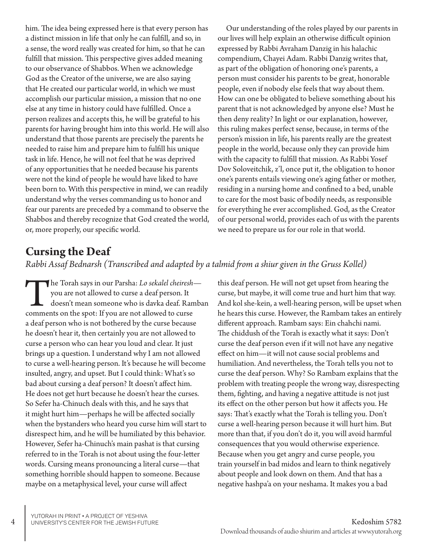him. The idea being expressed here is that every person has a distinct mission in life that only he can fulfill, and so, in a sense, the word really was created for him, so that he can fulfill that mission. This perspective gives added meaning to our observance of Shabbos. When we acknowledge God as the Creator of the universe, we are also saying that He created our particular world, in which we must accomplish our particular mission, a mission that no one else at any time in history could have fulfilled. Once a person realizes and accepts this, he will be grateful to his parents for having brought him into this world. He will also understand that those parents are precisely the parents he needed to raise him and prepare him to fulfill his unique task in life. Hence, he will not feel that he was deprived of any opportunities that he needed because his parents were not the kind of people he would have liked to have been born to. With this perspective in mind, we can readily understand why the verses commanding us to honor and fear our parents are preceded by a command to observe the Shabbos and thereby recognize that God created the world, or, more properly, our specific world.

Our understanding of the roles played by our parents in our lives will help explain an otherwise difficult opinion expressed by Rabbi Avraham Danzig in his halachic compendium, Chayei Adam. Rabbi Danzig writes that, as part of the obligation of honoring one's parents, a person must consider his parents to be great, honorable people, even if nobody else feels that way about them. How can one be obligated to believe something about his parent that is not acknowledged by anyone else? Must he then deny reality? In light or our explanation, however, this ruling makes perfect sense, because, in terms of the person's mission in life, his parents really are the greatest people in the world, because only they can provide him with the capacity to fulfill that mission. As Rabbi Yosef Dov Soloveitchik, z'l, once put it, the obligation to honor one's parents entails viewing one's aging father or mother, residing in a nursing home and confined to a bed, unable to care for the most basic of bodily needs, as responsible for everything he ever accomplished. God, as the Creator of our personal world, provides each of us with the parents we need to prepare us for our role in that world.

### **Cursing the Deaf**

*Rabbi Assaf Bednarsh (Transcribed and adapted by a talmid from a shiur given in the Gruss Kollel)*

The Torah says in our Parsha: *Lo sekalel cheiresh*—<br>you are not allowed to curse a deaf person. It<br>doesn't mean someone who is davka deaf. Ramb:<br>comments on the spot: If you are not allowed to curse you are not allowed to curse a deaf person. It doesn't mean someone who is davka deaf. Ramban a deaf person who is not bothered by the curse because he doesn't hear it, then certainly you are not allowed to curse a person who can hear you loud and clear. It just brings up a question. I understand why I am not allowed to curse a well-hearing person. It's because he will become insulted, angry, and upset. But I could think: What's so bad about cursing a deaf person? It doesn't affect him. He does not get hurt because he doesn't hear the curses. So Sefer ha-Chinuch deals with this, and he says that it might hurt him—perhaps he will be affected socially when the bystanders who heard you curse him will start to disrespect him, and he will be humiliated by this behavior. However, Sefer ha-Chinuch's main pashat is that cursing referred to in the Torah is not about using the four-letter words. Cursing means pronouncing a literal curse—that something horrible should happen to someone. Because maybe on a metaphysical level, your curse will affect

this deaf person. He will not get upset from hearing the curse, but maybe, it will come true and hurt him that way. And kol she-kein, a well-hearing person, will be upset when he hears this curse. However, the Rambam takes an entirely different approach. Rambam says: Ein chahchi nami. The chiddush of the Torah is exactly what it says: Don't curse the deaf person even if it will not have any negative effect on him—it will not cause social problems and humiliation. And nevertheless, the Torah tells you not to curse the deaf person. Why? So Rambam explains that the problem with treating people the wrong way, disrespecting them, fighting, and having a negative attitude is not just its effect on the other person but how it affects you. He says: That's exactly what the Torah is telling you. Don't curse a well-hearing person because it will hurt him. But more than that, if you don't do it, you will avoid harmful consequences that you would otherwise experience. Because when you get angry and curse people, you train yourself in bad midos and learn to think negatively about people and look down on them. And that has a negative hashpa'a on your neshama. It makes you a bad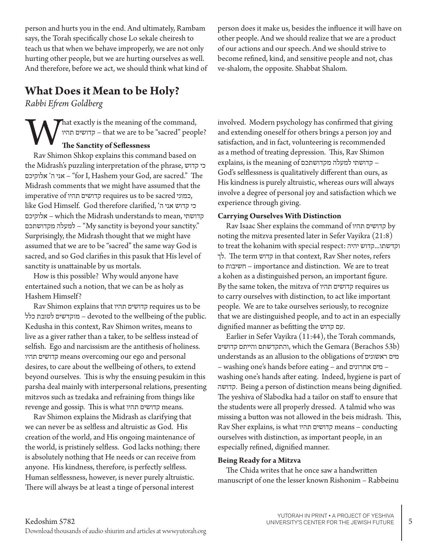person and hurts you in the end. And ultimately, Rambam says, the Torah specifically chose Lo sekale cheiresh to teach us that when we behave improperly, we are not only hurting other people, but we are hurting ourselves as well. And therefore, before we act, we should think what kind of

### **What Does it Mean to be Holy?**

*Rabbi Efrem Goldberg*

hat exactly is the meaning of the command, תהיו קדושים – that we are to be "sacred" people? **The Sanctity of Seflessness**

Rav Shimon Shkop explains this command based on the Midrash's puzzling interpretation of the phrase, קדוש כי אלוקיכם' ה אני" – for I, Hashem your God, are sacred." The Midrash comments that we might have assumed that the imperative of תהיו קדושים requires us to be sacred כמוני, like God Himself. God therefore clarified, 'ה אני קדוש כי אלוקיכם – which the Midrash understands to mean, קדושתי למעלה מקדושתכם – "My sanctity is beyond your sanctity." Surprisingly, the Midrash thought that we might have assumed that we are to be "sacred" the same way God is sacred, and so God clarifies in this pasuk that His level of sanctity is unattainable by us mortals.

How is this possible? Why would anyone have entertained such a notion, that we can be as holy as Hashem Himself?

Rav Shimon explains that תהיו קדושים requires us to be כלל לטובת מוקדשים – devoted to the wellbeing of the public. Kedusha in this context, Rav Shimon writes, means to live as a giver rather than a taker, to be selfless instead of selfish. Ego and narcissism are the antithesis of holiness. תהיו קדושים means overcoming our ego and personal desires, to care about the wellbeing of others, to extend beyond ourselves. This is why the ensuing pesukim in this parsha deal mainly with interpersonal relations, presenting mitzvos such as tzedaka and refraining from things like revenge and gossip. This is what תהיו קדושים means.

Rav Shimon explains the Midrash as clarifying that we can never be as selfless and altruistic as God. His creation of the world, and His ongoing maintenance of the world, is pristinely selfless. God lacks nothing; there is absolutely nothing that He needs or can receive from anyone. His kindness, therefore, is perfectly selfless. Human selflessness, however, is never purely altruistic. There will always be at least a tinge of personal interest

person does it make us, besides the influence it will have on other people. And we should realize that we are a product of our actions and our speech. And we should strive to become refined, kind, and sensitive people and not, chas ve-shalom, the opposite. Shabbat Shalom.

involved. Modern psychology has confirmed that giving and extending oneself for others brings a person joy and satisfaction, and in fact, volunteering is recommended as a method of treating depression. This, Rav Shimon explains, is the meaning of מקדושתכם קדושתילמעלה – God's selflessness is qualitatively different than ours, as His kindness is purely altruistic, whereas ours will always involve a degree of personal joy and satisfaction which we experience through giving.

#### **Carrying Ourselves With Distinction**

Rav Isaac Sher explains the command of תהיו קדושים by noting the mitzva presented later in Sefer Vayikra (21:8) to treat the kohanim with special respect: יהיה קדוש...וקדשתו לך. The term קדוש in that context, Rav Sher notes, refers to חשיבות – importance and distinction. We are to treat a kohen as a distinguished person, an important figure. By the same token, the mitzva of תהיו קדושים requires us to carry ourselves with distinction, to act like important people. We are to take ourselves seriously, to recognize that we are distinguished people, and to act in an especially dignified manner as befitting the קדוש עם.

Earlier in Sefer Vayikra (11:44), the Torah commands, קדושים והייתם והתקדשתם, which the Gemara (Berachos 53b) understands as an allusion to the obligations of ראשונים מים – washing one's hands before eating – and אחרונים מים – washing one's hands after eating. Indeed, hygiene is part of קדושה. Being a person of distinction means being dignified. The yeshiva of Slabodka had a tailor on staff to ensure that the students were all properly dressed. A talmid who was missing a button was not allowed in the beis midrash. This, Rav Sher explains, is what תהיו קדושים means – conducting ourselves with distinction, as important people, in an especially refined, dignified manner.

#### **Being Ready for a Mitzva**

The Chida writes that he once saw a handwritten manuscript of one the lesser known Rishonim – Rabbeinu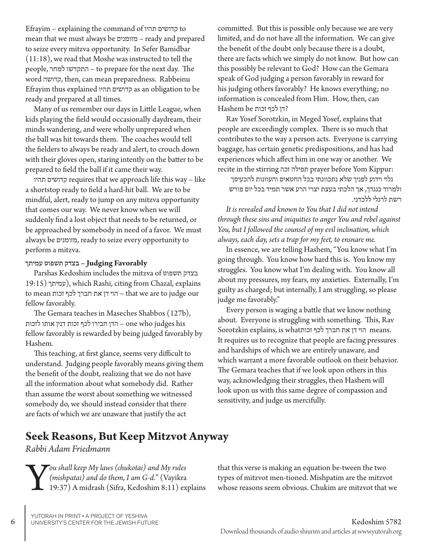Efrayim – explaining the command of תהיו קדושים to mean that we must always be מזומנים – ready and prepared to seize every mitzva opportunity. In Sefer Bamidbar (11:18), we read that Moshe was instructed to tell the people, התקדשולמחר – to prepare for the next day. The word קדושה, then, can mean preparedness. Rabbeinu Efrayim thus explained תהיו קדושים as an obligation to be ready and prepared at all times.

Many of us remember our days in Little League, when kids playing the field would occasionally daydream, their minds wandering, and were wholly unprepared when the ball was hit towards them. The coaches would tell the fielders to always be ready and alert, to crouch down with their gloves open, staring intently on the batter to be prepared to field the ball if it came their way.

תהיו קדושים requires that we approach life this way – like a shortstop ready to field a hard-hit ball. We are to be mindful, alert, ready to jump on any mitzva opportunity that comes our way. We never know when we will suddenly find a lost object that needs to be returned, or be approached by somebody in need of a favor. We must always be מזומנים, ready to seize every opportunity to perform a mitzva.

#### **Favorably Judging – בצדק תשפוט עמיתך**

Parshas Kedoshim includes the mitzva of תשפוט בצדק 19:15( עמיתך(, which Rashi, citing from Chazal, explains to mean חברךלכףזכות את דן הוי – that we are to judge our fellow favorably.

The Gemara teaches in Maseches Shabbos (127b), one who judges his – הדן חבירו לכף זכות דנין אותו לזכות fellow favorably is rewarded by being judged favorably by Hashem.

This teaching, at first glance, seems very difficult to understand. Judging people favorably means giving them the benefit of the doubt, realizing that we do not have all the information about what somebody did. Rather than assume the worst about something we witnessed somebody do, we should instead consider that there are facts of which we are unaware that justify the act

committed. But this is possible only because we are very limited, and do not have all the information. We can give the benefit of the doubt only because there is a doubt, there are facts which we simply do not know. But how can this possibly be relevant to God? How can the Gemara speak of God judging a person favorably in reward for his judging others favorably? He knows everything; no information is concealed from Him. How, then, can Hashem be דו לכף זכות?

Rav Yosef Sorotzkin, in Meged Yosef, explains that people are exceedingly complex. There is so much that contributes to the way a person acts. Everyone is carrying baggage, has certain genetic predispositions, and has had experiences which affect him in one way or another. We recite in the stirring זכה תפילה prayer before Yom Kippur:

גלוי וידוע לפניך שלא נתכוונתי בכל החטאים והעוונות להכעיסך ולמרוד כנגדך, אך הלכתי בעצת יצרי הרע אשר תמיד בכליום פורש רשת לרגלי ללכדני.

*It is revealed and known to You that I did not intend through these sins and iniquities to anger You and rebel against You, but I followed the counsel of my evil inclination, which always, each day, sets a trap for my feet, to ensnare me.*

In essence, we are telling Hashem, "You know what I'm going through. You know how hard this is. You know my struggles. You know what I'm dealing with. You know all about my pressures, my fears, my anxieties. Externally, I'm guilty as charged; but internally, I am struggling, so please judge me favorably."

Every person is waging a battle that we know nothing about. Everyone is struggling with something. This, Rav Sorotzkin explains, is whatחברךלכףזכות את דן הוי means. It requires us to recognize that people are facing pressures and hardships of which we are entirely unaware, and which warrant a more favorable outlook on their behavior. The Gemara teaches that if we look upon others in this way, acknowledging their struggles, then Hashem will look upon us with this same degree of compassion and sensitivity, and judge us mercifully.

### **Seek Reasons, But Keep Mitzvot Anyway**

*Rabbi Adam Friedmann*

*You shall keep My laws (chukotai) and My rules*<br>(*mishpatai) and do them, I am G-d.*" (Vayikra)<br>19:37) A midrash (Sifra, Kedoshim 8:11) ex *(mishpatai) and do them, I am G-d.*" (Vayikra 19:37) A midrash (Sifra, Kedoshim 8:11) explains

that this verse is making an equation be-tween the two types of mitzvot men-tioned. Mishpatim are the mitzvot whose reasons seem obvious. Chukim are mitzvot that we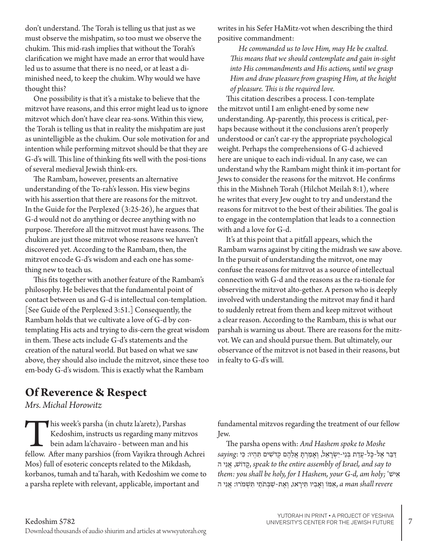don't understand. The Torah is telling us that just as we must observe the mishpatim, so too must we observe the chukim. This mid-rash implies that without the Torah's clarification we might have made an error that would have led us to assume that there is no need, or at least a diminished need, to keep the chukim. Why would we have thought this?

One possibility is that it's a mistake to believe that the mitzvot have reasons, and this error might lead us to ignore mitzvot which don't have clear rea-sons. Within this view, the Torah is telling us that in reality the mishpatim are just as unintelligible as the chukim. Our sole motivation for and intention while performing mitzvot should be that they are G-d's will. This line of thinking fits well with the posi-tions of several medieval Jewish think-ers.

The Rambam, however, presents an alternative understanding of the To-rah's lesson. His view begins with his assertion that there are reasons for the mitzvot. In the Guide for the Perplexed (3:25-26), he argues that G-d would not do anything or decree anything with no purpose. Therefore all the mitzvot must have reasons. The chukim are just those mitzvot whose reasons we haven't discovered yet. According to the Rambam, then, the mitzvot encode G-d's wisdom and each one has something new to teach us.

This fits together with another feature of the Rambam's philosophy. He believes that the fundamental point of contact between us and G-d is intellectual con-templation. [See Guide of the Perplexed 3:51.] Consequently, the Rambam holds that we cultivate a love of G-d by contemplating His acts and trying to dis-cern the great wisdom in them. These acts include G-d's statements and the creation of the natural world. But based on what we saw above, they should also include the mitzvot, since these too em-body G-d's wisdom. This is exactly what the Rambam

writes in his Sefer HaMitz-vot when describing the third positive commandment:

*He commanded us to love Him, may He be exalted. This means that we should contemplate and gain in-sight into His commandments and His actions, until we grasp Him and draw pleasure from grasping Him, at the height of pleasure. This is the required love.*

This citation describes a process. I con-template the mitzvot until I am enlight-ened by some new understanding. Ap-parently, this process is critical, perhaps because without it the conclusions aren't properly understood or can't car-ry the appropriate psychological weight. Perhaps the comprehensions of G-d achieved here are unique to each indi-vidual. In any case, we can understand why the Rambam might think it im-portant for Jews to consider the reasons for the mitzvot. He confirms this in the Mishneh Torah (Hilchot Meilah 8:1), where he writes that every Jew ought to try and understand the reasons for mitzvot to the best of their abilities. The goal is to engage in the contemplation that leads to a connection with and a love for G-d.

It's at this point that a pitfall appears, which the Rambam warns against by citing the midrash we saw above. In the pursuit of understanding the mitzvot, one may confuse the reasons for mitzvot as a source of intellectual connection with G-d and the reasons as the ra-tionale for observing the mitzvot alto-gether. A person who is deeply involved with understanding the mitzvot may find it hard to suddenly retreat from them and keep mitzvot without a clear reason. According to the Rambam, this is what our parshah is warning us about. There are reasons for the mitzvot. We can and should pursue them. But ultimately, our observance of the mitzvot is not based in their reasons, but in fealty to G-d's will.

### **Of Reverence & Respect**

*Mrs. Michal Horowitz*

Inis week's parsha (in chutz la'aretz), Parshas<br>
Kedoshim, instructs us regarding many mitzvos<br>
bein adam la'chavairo - between man and his<br>
fellow. After many parshios (from Vayikra through Achrei Kedoshim, instructs us regarding many mitzvos bein adam la'chavairo - between man and his Mos) full of esoteric concepts related to the Mikdash, korbanos, tumah and ta'harah, with Kedoshim we come to a parsha replete with relevant, applicable, important and

fundamental mitzvos regarding the treatment of our fellow Jew.

The parsha opens with: *And Hashem spoke to Moshe*  ּדַ ּבֵ ר אֶ לּ-כָ ל-עֲ דַ ת ּבְ נֵי-יִ ׂשְ רָ אֵ ל, וְ אָ מַ רְ ּתָ אֲ לֵ הֶ ם קְ דֹׁשִ ים ּתִ הְ יּו: ּכִ י :*saying* הֲדוֹשׁ, speak to the entire assembly of Israel, and say to *them: you shall be holy, for I Hashem, your G-d, am holy;* 'שׁי ִא  *revere shall man a* ,אִ ּמֹו וְ אָ בִ יו ּתִ ירָ אּו, וְ אֶ תׁ-שַ ּבְ תֹתַ י ּתִ ׁשְ מֹרּו: אֲ נִ י ה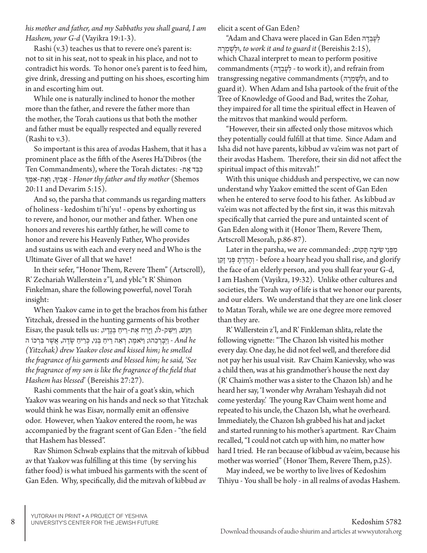*his mother and father, and my Sabbaths you shall guard, I am Hashem, your G-d* (Vayikra 19:1-3).

Rashi  $(v.3)$  teaches us that to revere one's parent is: not to sit in his seat, not to speak in his place, and not to contradict his words. To honor one's parent is to feed him, give drink, dressing and putting on his shoes, escorting him in and escorting him out.

While one is naturally inclined to honor the mother more than the father, and revere the father more than the mother, the Torah cautions us that both the mother and father must be equally respected and equally revered (Rashi to v.3).

So important is this area of avodas Hashem, that it has a prominent place as the fifth of the Aseres Ha'Dibros (the Ten Commandments), where the Torah dictates: -ת ֶא ד ֵבּ ַכּ Shemos(*mother thy and father thy Honor* - אָ בִ יָך, וְ אֶ ת-אִ ּמֶ ָך 20:11 and Devarim 5:15).

And so, the parsha that commands us regarding matters of holiness - kedoshim ti'hi'yu! - opens by exhorting us to revere, and honor, our mother and father. When one honors and reveres his earthly father, he will come to honor and revere his Heavenly Father, Who provides and sustains us with each and every need and Who is the Ultimate Giver of all that we have!

In their sefer, "Honor Them, Revere Them" (Artscroll), R' Zechariah Wallerstein z"l, and yblc"t R' Shimon Finkelman, share the following powerful, novel Torah insight:

When Yaakov came in to get the brachos from his father Yitzchak, dressed in the hunting garments of his brother Fisav, the pasuk tells us: וַיְּגַּשׁ, וַיְּשַׁק-לֹו, וַיָּרַח אֶת-רֵיחַ בְּגֶדָיו,  *he And* - וַ יְבָ רְ כֵ הּו; וַ ּיֹאמֶ ר, רְ אֵ ה רֵ יחַ ּבְ נִ י, ּכְ רֵ יחַ ׂשָ דֶ ה, אֲ ׁשֶ ר ּבֵ רְ כֹו ה *(Yitzchak) drew Yaakov close and kissed him; he smelled the fragrance of his garments and blessed him; he said, 'See the fragrance of my son is like the fragrance of the field that Hashem has blessed*' (Bereishis 27:27).

Rashi comments that the hair of a goat's skin, which Yaakov was wearing on his hands and neck so that Yitzchak would think he was Eisav, normally emit an offensive odor. However, when Yaakov entered the room, he was accompanied by the fragrant scent of Gan Eden - "the field that Hashem has blessed".

Rav Shimon Schwab explains that the mitzvah of kibbud av that Yaakov was fulfilling at this time (by serving his father food) is what imbued his garments with the scent of Gan Eden. Why, specifically, did the mitzvah of kibbud av

elicit a scent of Gan Eden?

"Adam and Chava were placed in Gan Eden קָעָבְדָה הּ ָר ְמ ָשׁ ְולּ, *to work it and to guard it* (Bereishis 2:15), which Chazal interpret to mean to perform positive commandments (הּ ָד ְב ָע ְל - to work it), and refrain from transgressing negative commandments (ולְשָׁמְרַה, and to guard it). When Adam and Isha partook of the fruit of the Tree of Knowledge of Good and Bad, writes the Zohar, they impaired for all time the spiritual effect in Heaven of the mitzvos that mankind would perform.

"However, their sin affected only those mitzvos which they potentially could fulfill at that time. Since Adam and Isha did not have parents, kibbud av va'eim was not part of their avodas Hashem. Therefore, their sin did not affect the spiritual impact of this mitzvah!"

With this unique chiddush and perspective, we can now understand why Yaakov emitted the scent of Gan Eden when he entered to serve food to his father. As kibbud av va'eim was not affected by the first sin, it was this mitzvah specifically that carried the pure and untainted scent of Gan Eden along with it (Honor Them, Revere Them, Artscroll Mesorah, p.86-87).

תִּפְּנֵי שֵׂיבָה תְּקוּם, :Later in the parsha, we are commanded: יִהְדֵרְתָּ פְּנֵי זָקֵן - before a hoary head you shall rise, and glorify the face of an elderly person, and you shall fear your G-d, I am Hashem (Vayikra, 19:32). Unlike other cultures and societies, the Torah way of life is that we honor our parents, and our elders. We understand that they are one link closer to Matan Torah, while we are one degree more removed than they are.

R' Wallerstein z'l, and R' Finkleman shlita, relate the following vignette: "The Chazon Ish visited his mother every day. One day, he did not feel well, and therefore did not pay her his usual visit. Rav Chaim Kanievsky, who was a child then, was at his grandmother's house the next day (R' Chaim's mother was a sister to the Chazon Ish) and he heard her say, 'I wonder why Avraham Yeshayah did not come yesterday.' The young Rav Chaim went home and repeated to his uncle, the Chazon Ish, what he overheard. Immediately, the Chazon Ish grabbed his hat and jacket and started running to his mother's apartment. Rav Chaim recalled, "I could not catch up with him, no matter how hard I tried. He ran because of kibbud av va'eim, because his mother was worried" (Honor Them, Revere Them, p.25).

May indeed, we be worthy to live lives of Kedoshim Tihiyu - You shall be holy - in all realms of avodas Hashem.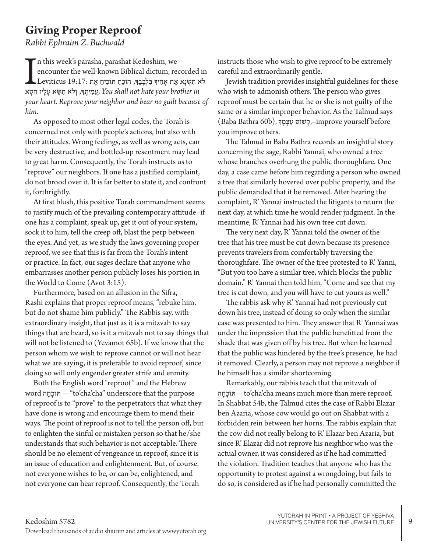### **Giving Proper Reproof**

*Rabbi Ephraim Z. Buchwald*

n this week's parasha, parashat Kedoshim, we encounter the well-known Biblical dictum, recorded Leviticus 19:17: אֲתוֹלְהַיָּךָ, וְלֹא תִשְׂא עָלָיו חֵטְא אֶת אֲחִידְּ $\frac{1}{2}$ , וֹהֹבְחַ תּוֹכִיחַ אֶת אֲחִידָּ n this week's parasha, parashat Kedoshim, we encounter the well-known Biblical dictum, recorded in לֹא תִשְׂנֵא אֶת אַחִיךְּ בִּלְבַבֵךְּ, הוֹכֵחַ תּוֹכִיחַ אֶת Leviticus 19:17: *your heart. Reprove your neighbor and bear no guilt because of him.*

As opposed to most other legal codes, the Torah is concerned not only with people's actions, but also with their attitudes. Wrong feelings, as well as wrong acts, can be very destructive, and bottled-up resentment may lead to great harm. Consequently, the Torah instructs us to "reprove" our neighbors. If one has a justified complaint, do not brood over it. It is far better to state it, and confront it, forthrightly.

At first blush, this positive Torah commandment seems to justify much of the prevailing contemporary attitude–if one has a complaint, speak up, get it out of your system, sock it to him, tell the creep off, blast the perp between the eyes. And yet, as we study the laws governing proper reproof, we see that this is far from the Torah's intent or practice. In fact, our sages declare that anyone who embarrasses another person publicly loses his portion in the World to Come (Avot 3:15).

Furthermore, based on an allusion in the Sifra, Rashi explains that proper reproof means, "rebuke him, but do not shame him publicly." The Rabbis say, with extraordinary insight, that just as it is a mitzvah to say things that are heard, so is it a mitzvah not to say things that will not be listened to (Yevamot 65b). If we know that the person whom we wish to reprove cannot or will not hear what we are saying, it is preferable to avoid reproof, since doing so will only engender greater strife and enmity.

Both the English word "reproof" and the Hebrew word הוֹכָחָה — to'cha'cha" underscore that the purpose of reproof is to "prove" to the perpetrators that what they have done is wrong and encourage them to mend their ways. The point of reproof is not to tell the person off, but to enlighten the sinful or mistaken person so that he/she understands that such behavior is not acceptable. There should be no element of vengeance in reproof, since it is an issue of education and enlightenment. But, of course, not everyone wishes to be, or can be, enlightened, and not everyone can hear reproof. Consequently, the Torah

instructs those who wish to give reproof to be extremely careful and extraordinarily gentle.

Jewish tradition provides insightful guidelines for those who wish to admonish others. The person who gives reproof must be certain that he or she is not guilty of the same or a similar improper behavior. As the Talmud says  $(bab$ a Bathra 60b), קְשׁוֹט עַצְמְךּ,-improve yourself before you improve others.

The Talmud in Baba Bathra records an insightful story concerning the sage, Rabbi Yannai, who owned a tree whose branches overhung the public thoroughfare. One day, a case came before him regarding a person who owned a tree that similarly hovered over public property, and the public demanded that it be removed. After hearing the complaint, R' Yannai instructed the litigants to return the next day, at which time he would render judgment. In the meantime, R' Yannai had his own tree cut down.

The very next day, R' Yannai told the owner of the tree that his tree must be cut down because its presence prevents travelers from comfortably traversing the thoroughfare. The owner of the tree protested to R' Yanni, "But you too have a similar tree, which blocks the public domain." R' Yannai then told him, "Come and see that my tree is cut down, and you will have to cut yours as well."

The rabbis ask why R' Yannai had not previously cut down his tree, instead of doing so only when the similar case was presented to him. They answer that R' Yannai was under the impression that the public benefitted from the shade that was given off by his tree. But when he learned that the public was hindered by the tree's presence, he had it removed. Clearly, a person may not reprove a neighbor if he himself has a similar shortcoming.

Remarkably, our rabbis teach that the mitzvah of ה ָח ָוכֹתּ—to'cha'cha means much more than mere reproof. In Shabbat 54b, the Talmud cites the case of Rabbi Elazar ben Azaria, whose cow would go out on Shabbat with a forbidden rein between her horns. The rabbis explain that the cow did not really belong to R' Elazar ben Azaria, but since R' Elazar did not reprove his neighbor who was the actual owner, it was considered as if he had committed the violation. Tradition teaches that anyone who has the opportunity to protest against a wrongdoing, but fails to do so, is considered as if he had personally committed the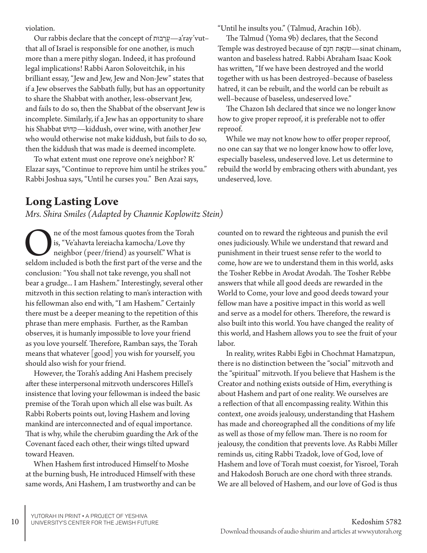violation.

Our rabbis declare that the concept of ותּב ֵר ֲע—a'ray'vut– that all of Israel is responsible for one another, is much more than a mere pithy slogan. Indeed, it has profound legal implications! Rabbi Aaron Soloveitchik, in his brilliant essay, "Jew and Jew, Jew and Non-Jew" states that if a Jew observes the Sabbath fully, but has an opportunity to share the Shabbat with another, less-observant Jew, and fails to do so, then the Shabbat of the observant Jew is incomplete. Similarly, if a Jew has an opportunity to share his Shabbat שׁוּדּ ִק—kiddush, over wine, with another Jew who would otherwise not make kiddush, but fails to do so, then the kiddush that was made is deemed incomplete.

To what extent must one reprove one's neighbor? R' Elazar says, "Continue to reprove him until he strikes you." Rabbi Joshua says, "Until he curses you." Ben Azai says,

"Until he insults you." (Talmud, Arachin 16b).

The Talmud (Yoma 9b) declares, that the Second Temple was destroyed because of שׁנְאַת חִנַּם —sinat chinam, wanton and baseless hatred. Rabbi Abraham Isaac Kook has written, "If we have been destroyed and the world together with us has been destroyed–because of baseless hatred, it can be rebuilt, and the world can be rebuilt as well–because of baseless, undeserved love."

The Chazon Ish declared that since we no longer know how to give proper reproof, it is preferable not to offer reproof.

While we may not know how to offer proper reproof, no one can say that we no longer know how to offer love, especially baseless, undeserved love. Let us determine to rebuild the world by embracing others with abundant, yes undeserved, love.

### **Long Lasting Love**

*Mrs. Shira Smiles (Adapted by Channie Koplowitz Stein)*

**O**ne of the most famous quotes from the Torah is, "Ve'ahavta lereiacha kamocha/Love thy neighbor (peer/friend) as yourself." What is seldom included is both the first part of the verse and the is, "Ve'ahavta lereiacha kamocha/Love thy neighbor (peer/friend) as yourself." What is conclusion: "You shall not take revenge, you shall not bear a grudge... I am Hashem." Interestingly, several other mitzvoth in this section relating to man's interaction with his fellowman also end with, "I am Hashem." Certainly there must be a deeper meaning to the repetition of this phrase than mere emphasis. Further, as the Ramban observes, it is humanly impossible to love your friend as you love yourself. Therefore, Ramban says, the Torah means that whatever [good] you wish for yourself, you should also wish for your friend.

However, the Torah's adding Ani Hashem precisely after these interpersonal mitzvoth underscores Hillel's insistence that loving your fellowman is indeed the basic premise of the Torah upon which all else was built. As Rabbi Roberts points out, loving Hashem and loving mankind are interconnected and of equal importance. That is why, while the cherubim guarding the Ark of the Covenant faced each other, their wings tilted upward toward Heaven.

When Hashem first introduced Himself to Moshe at the burning bush, He introduced Himself with these same words, Ani Hashem, I am trustworthy and can be

counted on to reward the righteous and punish the evil ones judiciously. While we understand that reward and punishment in their truest sense refer to the world to come, how are we to understand them in this world, asks the Tosher Rebbe in Avodat Avodah. The Tosher Rebbe answers that while all good deeds are rewarded in the World to Come, your love and good deeds toward your fellow man have a positive impact in this world as well and serve as a model for others. Therefore, the reward is also built into this world. You have changed the reality of this world, and Hashem allows you to see the fruit of your labor.

In reality, writes Rabbi Egbi in Chochmat Hamatzpun, there is no distinction between the "social" mitzvoth and the "spiritual" mitzvoth. If you believe that Hashem is the Creator and nothing exists outside of Him, everything is about Hashem and part of one reality. We ourselves are a reflection of that all encompassing reality. Within this context, one avoids jealousy, understanding that Hashem has made and choreographed all the conditions of my life as well as those of my fellow man. There is no room for jealousy, the condition that prevents love. As Rabbi Miller reminds us, citing Rabbi Tzadok, love of God, love of Hashem and love of Torah must coexist, for Yisroel, Torah and Hakodosh Boruch are one chord with three strands. We are all beloved of Hashem, and our love of God is thus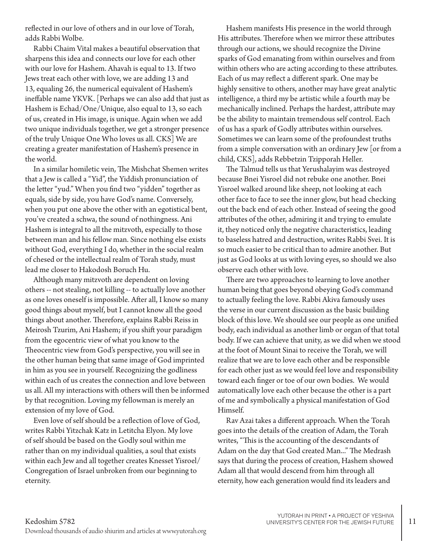reflected in our love of others and in our love of Torah, adds Rabbi Wolbe.

Rabbi Chaim Vital makes a beautiful observation that sharpens this idea and connects our love for each other with our love for Hashem. Ahavah is equal to 13. If two Jews treat each other with love, we are adding 13 and 13, equaling 26, the numerical equivalent of Hashem's ineffable name YKVK. [Perhaps we can also add that just as Hashem is Echad/One/Unique, also equal to 13, so each of us, created in His image, is unique. Again when we add two unique individuals together, we get a stronger presence of the truly Unique One Who loves us all. CKS] We are creating a greater manifestation of Hashem's presence in the world.

In a similar homiletic vein, The Mishchat Shemen writes that a Jew is called a "Yid", the Yiddish pronunciation of the letter "yud." When you find two "yidden" together as equals, side by side, you have God's name. Conversely, when you put one above the other with an egotistical bent, you've created a schwa, the sound of nothingness. Ani Hashem is integral to all the mitzvoth, especially to those between man and his fellow man. Since nothing else exists without God, everything I do, whether in the social realm of chesed or the intellectual realm of Torah study, must lead me closer to Hakodosh Boruch Hu.

Although many mitzvoth are dependent on loving others -- not stealing, not killing -- to actually love another as one loves oneself is impossible. After all, I know so many good things about myself, but I cannot know all the good things about another. Therefore, explains Rabbi Reiss in Meirosh Tzurim, Ani Hashem; if you shift your paradigm from the egocentric view of what you know to the Theocentric view from God's perspective, you will see in the other human being that same image of God imprinted in him as you see in yourself. Recognizing the godliness within each of us creates the connection and love between us all. All my interactions with others will then be informed by that recognition. Loving my fellowman is merely an extension of my love of God.

Even love of self should be a reflection of love of God, writes Rabbi Yitzchak Katz in Letitcha Elyon. My love of self should be based on the Godly soul within me rather than on my individual qualities, a soul that exists within each Jew and all together creates Knesset Yisroel/ Congregation of Israel unbroken from our beginning to eternity.

Hashem manifests His presence in the world through His attributes. Therefore when we mirror these attributes through our actions, we should recognize the Divine sparks of God emanating from within ourselves and from within others who are acting according to these attributes. Each of us may reflect a different spark. One may be highly sensitive to others, another may have great analytic intelligence, a third my be artistic while a fourth may be mechanically inclined. Perhaps the hardest, attribute may be the ability to maintain tremendous self control. Each of us has a spark of Godly attributes within ourselves. Sometimes we can learn some of the profoundest truths from a simple conversation with an ordinary Jew [or from a child, CKS], adds Rebbetzin Tzipporah Heller.

The Talmud tells us that Yerushalayim was destroyed because Bnei Yisroel did not rebuke one another. Bnei Yisroel walked around like sheep, not looking at each other face to face to see the inner glow, but head checking out the back end of each other. Instead of seeing the good attributes of the other, admiring it and trying to emulate it, they noticed only the negative characteristics, leading to baseless hatred and destruction, writes Rabbi Svei. It is so much easier to be critical than to admire another. But just as God looks at us with loving eyes, so should we also observe each other with love.

There are two approaches to learning to love another human being that goes beyond obeying God's command to actually feeling the love. Rabbi Akiva famously uses the verse in our current discussion as the basic building block of this love. We should see our people as one unified body, each individual as another limb or organ of that total body. If we can achieve that unity, as we did when we stood at the foot of Mount Sinai to receive the Torah, we will realize that we are to love each other and be responsible for each other just as we would feel love and responsibility toward each finger or toe of our own bodies. We would automatically love each other because the other is a part of me and symbolically a physical manifestation of God Himself.

Rav Azai takes a different approach. When the Torah goes into the details of the creation of Adam, the Torah writes, "This is the accounting of the descendants of Adam on the day that God created Man..." The Medrash says that during the process of creation, Hashem showed Adam all that would descend from him through all eternity, how each generation would find its leaders and